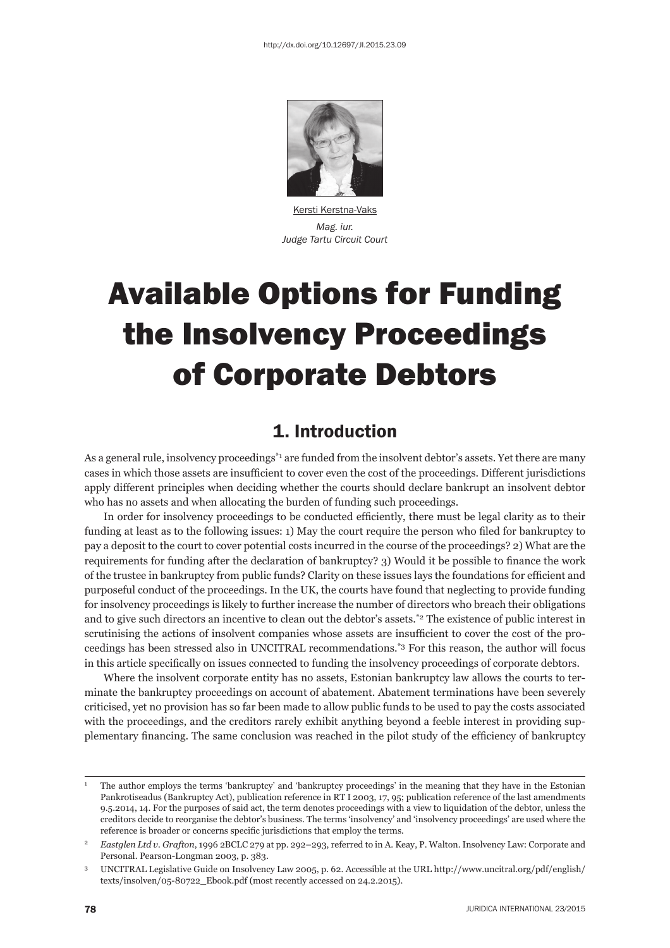

Kersti Kerstna-Vaks *Mag. iur. Judge Tartu Circuit Court*

# Available Options for Funding the Insolvency Proceedings of Corporate Debtors

#### 1. Introduction

As a general rule, insolvency proceedings<sup>\*1</sup> are funded from the insolvent debtor's assets. Yet there are many cases in which those assets are insufficient to cover even the cost of the proceedings. Different jurisdictions apply different principles when deciding whether the courts should declare bankrupt an insolvent debtor who has no assets and when allocating the burden of funding such proceedings.

In order for insolvency proceedings to be conducted efficiently, there must be legal clarity as to their funding at least as to the following issues: 1) May the court require the person who filed for bankruptcy to pay a deposit to the court to cover potential costs incurred in the course of the proceedings? 2) What are the requirements for funding after the declaration of bankruptcy? 3) Would it be possible to finance the work of the trustee in bankruptcy from public funds? Clarity on these issues lays the foundations for efficient and purposeful conduct of the proceedings. In the UK, the courts have found that neglecting to provide funding for insolvency proceedings is likely to further increase the number of directors who breach their obligations and to give such directors an incentive to clean out the debtor's assets.\*2 The existence of public interest in scrutinising the actions of insolvent companies whose assets are insufficient to cover the cost of the proceedings has been stressed also in UNCITRAL recommendations.\*3 For this reason, the author will focus in this article specifically on issues connected to funding the insolvency proceedings of corporate debtors.

Where the insolvent corporate entity has no assets, Estonian bankruptcy law allows the courts to terminate the bankruptcy proceedings on account of abatement. Abatement terminations have been severely criticised, yet no provision has so far been made to allow public funds to be used to pay the costs associated with the proceedings, and the creditors rarely exhibit anything beyond a feeble interest in providing supplementary financing. The same conclusion was reached in the pilot study of the efficiency of bankruptcy

<sup>1</sup> The author employs the terms 'bankruptcy' and 'bankruptcy proceedings' in the meaning that they have in the Estonian Pankrotiseadus (Bankruptcy Act), publication reference in RT I 2003, 17, 95; publication reference of the last amendments 9.5.2014, 14. For the purposes of said act, the term denotes proceedings with a view to liquidation of the debtor, unless the creditors decide to reorganise the debtor's business. The terms 'insolvency' and 'insolvency proceedings' are used where the reference is broader or concerns specific jurisdictions that employ the terms.

<sup>2</sup> *Eastglen Ltd v. Grafton*, 1996 2BCLC 279 at pp. 292–293, referred to in A. Keay, P. Walton. Insolvency Law: Corporate and Personal. Pearson-Longman 2003, p. 383.

<sup>3</sup> UNCITRAL Legislative Guide on Insolvency Law 2005, p. 62. Accessible at the URL http://www.uncitral.org/pdf/english/ texts/insolven/05-80722\_Ebook.pdf (most recently accessed on 24.2.2015).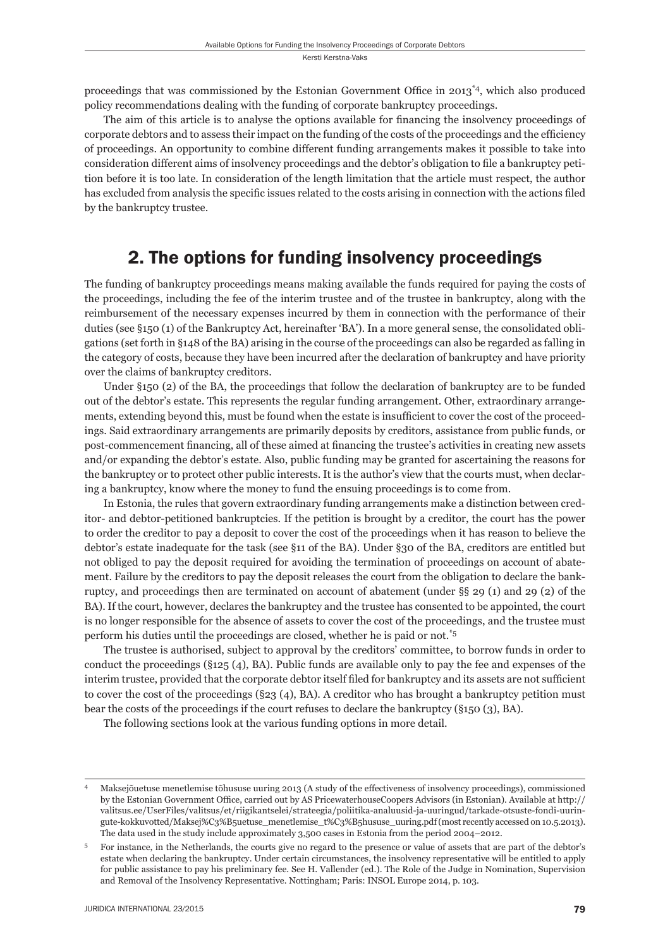proceedings that was commissioned by the Estonian Government Office in  $2013^{*4}$ , which also produced policy recommendations dealing with the funding of corporate bankruptcy proceedings.

The aim of this article is to analyse the options available for financing the insolvency proceedings of corporate debtors and to assess their impact on the funding of the costs of the proceedings and the efficiency of proceedings. An opportunity to combine different funding arrangements makes it possible to take into consideration different aims of insolvency proceedings and the debtor's obligation to file a bankruptcy petition before it is too late. In consideration of the length limitation that the article must respect, the author has excluded from analysis the specific issues related to the costs arising in connection with the actions filed by the bankruptcy trustee.

## 2. The options for funding insolvency proceedings

The funding of bankruptcy proceedings means making available the funds required for paying the costs of the proceedings, including the fee of the interim trustee and of the trustee in bankruptcy, along with the reimbursement of the necessary expenses incurred by them in connection with the performance of their duties (see §150 (1) of the Bankruptcy Act, hereinafter 'BA'). In a more general sense, the consolidated obligations (set forth in §148 of the BA) arising in the course of the proceedings can also be regarded as falling in the category of costs, because they have been incurred after the declaration of bankruptcy and have priority over the claims of bankruptcy creditors.

Under §150 (2) of the BA, the proceedings that follow the declaration of bankruptcy are to be funded out of the debtor's estate. This represents the regular funding arrangement. Other, extraordinary arrangements, extending beyond this, must be found when the estate is insufficient to cover the cost of the proceedings. Said extraordinary arrangements are primarily deposits by creditors, assistance from public funds, or post-commencement financing, all of these aimed at financing the trustee's activities in creating new assets and/or expanding the debtor's estate. Also, public funding may be granted for ascertaining the reasons for the bankruptcy or to protect other public interests. It is the author's view that the courts must, when declaring a bankruptcy, know where the money to fund the ensuing proceedings is to come from.

In Estonia, the rules that govern extraordinary funding arrangements make a distinction between creditor- and debtor-petitioned bankruptcies. If the petition is brought by a creditor, the court has the power to order the creditor to pay a deposit to cover the cost of the proceedings when it has reason to believe the debtor's estate inadequate for the task (see §11 of the BA). Under §30 of the BA, creditors are entitled but not obliged to pay the deposit required for avoiding the termination of proceedings on account of abatement. Failure by the creditors to pay the deposit releases the court from the obligation to declare the bankruptcy, and proceedings then are terminated on account of abatement (under §§ 29 (1) and 29 (2) of the BA). If the court, however, declares the bankruptcy and the trustee has consented to be appointed, the court is no longer responsible for the absence of assets to cover the cost of the proceedings, and the trustee must perform his duties until the proceedings are closed, whether he is paid or not.\*5

The trustee is authorised, subject to approval by the creditors' committee, to borrow funds in order to conduct the proceedings (§125 (4), BA). Public funds are available only to pay the fee and expenses of the interim trustee, provided that the corporate debtor itself filed for bankruptcy and its assets are not sufficient to cover the cost of the proceedings  $(\S23 \ (4), BA)$ . A creditor who has brought a bankruptcy petition must bear the costs of the proceedings if the court refuses to declare the bankruptcy (§150 (3), BA).

The following sections look at the various funding options in more detail.

<sup>4</sup> Maksejõuetuse menetlemise tõhususe uuring 2013 (A study of the effectiveness of insolvency proceedings), commissioned by the Estonian Government Office, carried out by AS PricewaterhouseCoopers Advisors (in Estonian). Available at http:// valitsus.ee/UserFiles/valitsus/et/riigikantselei/strateegia/poliitika-analuusid-ja-uuringud/tarkade-otsuste-fondi-uuringute-kokkuvotted/Maksej%C3%B5uetuse\_menetlemise\_t%C3%B5hususe\_uuring.pdf (most recently accessed on 10.5.2013). The data used in the study include approximately 3,500 cases in Estonia from the period 2004–2012.

<sup>5</sup> For instance, in the Netherlands, the courts give no regard to the presence or value of assets that are part of the debtor's estate when declaring the bankruptcy. Under certain circumstances, the insolvency representative will be entitled to apply for public assistance to pay his preliminary fee. See H. Vallender (ed.). The Role of the Judge in Nomination, Supervision and Removal of the Insolvency Representative. Nottingham; Paris: INSOL Europe 2014, p. 103.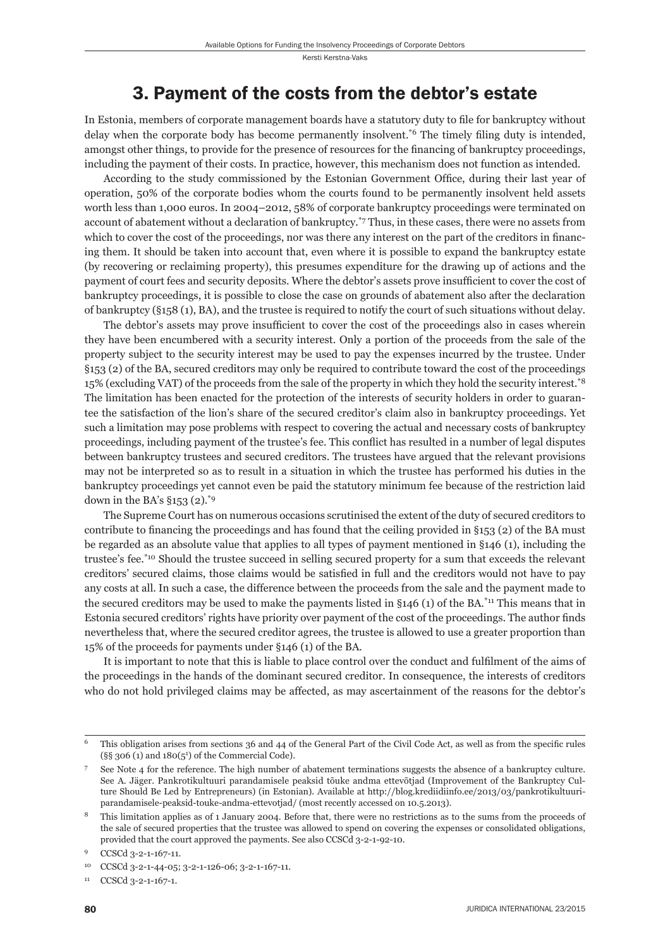#### 3. Payment of the costs from the debtor's estate

In Estonia, members of corporate management boards have a statutory duty to file for bankruptcy without delay when the corporate body has become permanently insolvent.<sup>\*6</sup> The timely filing duty is intended, amongst other things, to provide for the presence of resources for the financing of bankruptcy proceedings, including the payment of their costs. In practice, however, this mechanism does not function as intended.

According to the study commissioned by the Estonian Government Office, during their last year of operation, 50% of the corporate bodies whom the courts found to be permanently insolvent held assets worth less than 1,000 euros. In 2004–2012, 58% of corporate bankruptcy proceedings were terminated on account of abatement without a declaration of bankruptcy.\*7 Thus, in these cases, there were no assets from which to cover the cost of the proceedings, nor was there any interest on the part of the creditors in financing them. It should be taken into account that, even where it is possible to expand the bankruptcy estate (by recovering or reclaiming property), this presumes expenditure for the drawing up of actions and the payment of court fees and security deposits. Where the debtor's assets prove insufficient to cover the cost of bankruptcy proceedings, it is possible to close the case on grounds of abatement also after the declaration of bankruptcy (§158 (1), BA), and the trustee is required to notify the court of such situations without delay.

The debtor's assets may prove insufficient to cover the cost of the proceedings also in cases wherein they have been encumbered with a security interest. Only a portion of the proceeds from the sale of the property subject to the security interest may be used to pay the expenses incurred by the trustee. Under §153 (2) of the BA, secured creditors may only be required to contribute toward the cost of the proceedings 15% (excluding VAT) of the proceeds from the sale of the property in which they hold the security interest.\*8 The limitation has been enacted for the protection of the interests of security holders in order to guarantee the satisfaction of the lion's share of the secured creditor's claim also in bankruptcy proceedings. Yet such a limitation may pose problems with respect to covering the actual and necessary costs of bankruptcy proceedings, including payment of the trustee's fee. This conflict has resulted in a number of legal disputes between bankruptcy trustees and secured creditors. The trustees have argued that the relevant provisions may not be interpreted so as to result in a situation in which the trustee has performed his duties in the bankruptcy proceedings yet cannot even be paid the statutory minimum fee because of the restriction laid down in the BA's  $§153$  (2).<sup>\*9</sup>

The Supreme Court has on numerous occasions scrutinised the extent of the duty of secured creditors to contribute to financing the proceedings and has found that the ceiling provided in  $\S$ 153 (2) of the BA must be regarded as an absolute value that applies to all types of payment mentioned in §146 (1), including the trustee's fee.\*10 Should the trustee succeed in selling secured property for a sum that exceeds the relevant creditors' secured claims, those claims would be satisfied in full and the creditors would not have to pay any costs at all. In such a case, the difference between the proceeds from the sale and the payment made to the secured creditors may be used to make the payments listed in  $\S 146$  (1) of the BA.<sup>\*11</sup> This means that in Estonia secured creditors' rights have priority over payment of the cost of the proceedings. The author finds nevertheless that, where the secured creditor agrees, the trustee is allowed to use a greater proportion than 15% of the proceeds for payments under §146 (1) of the BA.

It is important to note that this is liable to place control over the conduct and fulfilment of the aims of the proceedings in the hands of the dominant secured creditor. In consequence, the interests of creditors who do not hold privileged claims may be affected, as may ascertainment of the reasons for the debtor's

11 CCSCd 3-2-1-167-1.

This obligation arises from sections 36 and 44 of the General Part of the Civil Code Act, as well as from the specific rules  $(\S\$  306 (1) and 180 $(5^1)$  of the Commercial Code).

See Note 4 for the reference. The high number of abatement terminations suggests the absence of a bankruptcy culture. See A. Jäger. Pankrotikultuuri parandamisele peaksid tõuke andma ettevõtjad (Improvement of the Bankruptcy Culture Should Be Led by Entrepreneurs) (in Estonian). Available at http://blog.krediidiinfo.ee/2013/03/pankrotikultuuriparandamisele-peaksid-touke-andma-ettevotjad/ (most recently accessed on 10.5.2013).

<sup>8</sup> This limitation applies as of 1 January 2004. Before that, there were no restrictions as to the sums from the proceeds of the sale of secured properties that the trustee was allowed to spend on covering the expenses or consolidated obligations, provided that the court approved the payments. See also CCSCd 3-2-1-92-10.

CCSCd 3-2-1-167-11.

<sup>10</sup> CCSCd 3-2-1-44-05; 3-2-1-126-06; 3-2-1-167-11.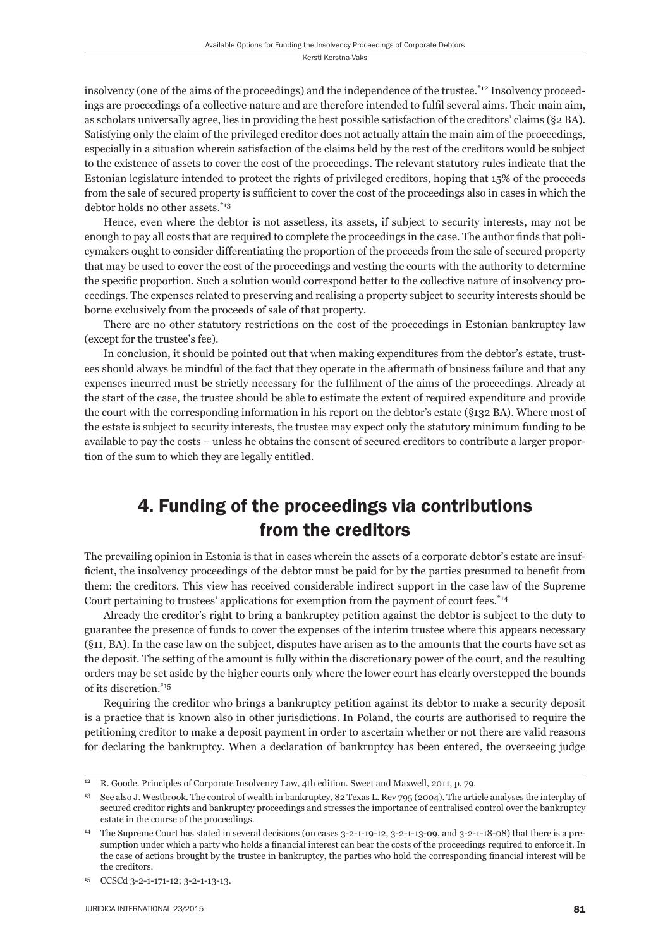insolvency (one of the aims of the proceedings) and the independence of the trustee.\*12 Insolvency proceedings are proceedings of a collective nature and are therefore intended to fulfil several aims. Their main aim, as scholars universally agree, lies in providing the best possible satisfaction of the creditors' claims (§2 BA). Satisfying only the claim of the privileged creditor does not actually attain the main aim of the proceedings, especially in a situation wherein satisfaction of the claims held by the rest of the creditors would be subject to the existence of assets to cover the cost of the proceedings. The relevant statutory rules indicate that the Estonian legislature intended to protect the rights of privileged creditors, hoping that 15% of the proceeds from the sale of secured property is sufficient to cover the cost of the proceedings also in cases in which the debtor holds no other assets.\*13

Hence, even where the debtor is not assetless, its assets, if subject to security interests, may not be enough to pay all costs that are required to complete the proceedings in the case. The author finds that policymakers ought to consider differentiating the proportion of the proceeds from the sale of secured property that may be used to cover the cost of the proceedings and vesting the courts with the authority to determine the specific proportion. Such a solution would correspond better to the collective nature of insolvency proceedings. The expenses related to preserving and realising a property subject to security interests should be borne exclusively from the proceeds of sale of that property.

There are no other statutory restrictions on the cost of the proceedings in Estonian bankruptcy law (except for the trustee's fee).

In conclusion, it should be pointed out that when making expenditures from the debtor's estate, trustees should always be mindful of the fact that they operate in the aftermath of business failure and that any expenses incurred must be strictly necessary for the fulfilment of the aims of the proceedings. Already at the start of the case, the trustee should be able to estimate the extent of required expenditure and provide the court with the corresponding information in his report on the debtor's estate (§132 BA). Where most of the estate is subject to security interests, the trustee may expect only the statutory minimum funding to be available to pay the costs – unless he obtains the consent of secured creditors to contribute a larger proportion of the sum to which they are legally entitled.

# 4. Funding of the proceedings via contributions from the creditors

The prevailing opinion in Estonia is that in cases wherein the assets of a corporate debtor's estate are insufficient, the insolvency proceedings of the debtor must be paid for by the parties presumed to benefit from them: the creditors. This view has received considerable indirect support in the case law of the Supreme Court pertaining to trustees' applications for exemption from the payment of court fees.<sup>\*14</sup>

Already the creditor's right to bring a bankruptcy petition against the debtor is subject to the duty to guarantee the presence of funds to cover the expenses of the interim trustee where this appears necessary (§11, BA). In the case law on the subject, disputes have arisen as to the amounts that the courts have set as the deposit. The setting of the amount is fully within the discretionary power of the court, and the resulting orders may be set aside by the higher courts only where the lower court has clearly overstepped the bounds of its discretion.\*15

Requiring the creditor who brings a bankruptcy petition against its debtor to make a security deposit is a practice that is known also in other jurisdictions. In Poland, the courts are authorised to require the petitioning creditor to make a deposit payment in order to ascertain whether or not there are valid reasons for declaring the bankruptcy. When a declaration of bankruptcy has been entered, the overseeing judge

<sup>12</sup> R. Goode. Principles of Corporate Insolvency Law, 4th edition. Sweet and Maxwell, 2011, p. 79.

<sup>13</sup> See also J. Westbrook. The control of wealth in bankruptcy, 82 Texas L. Rev 795 (2004). The article analyses the interplay of secured creditor rights and bankruptcy proceedings and stresses the importance of centralised control over the bankruptcy estate in the course of the proceedings.

<sup>14</sup> The Supreme Court has stated in several decisions (on cases 3-2-1-19-12, 3-2-1-13-09, and 3-2-1-18-08) that there is a presumption under which a party who holds a financial interest can bear the costs of the proceedings required to enforce it. In the case of actions brought by the trustee in bankruptcy, the parties who hold the corresponding financial interest will be the creditors.

CCSCd 3-2-1-171-12; 3-2-1-13-13.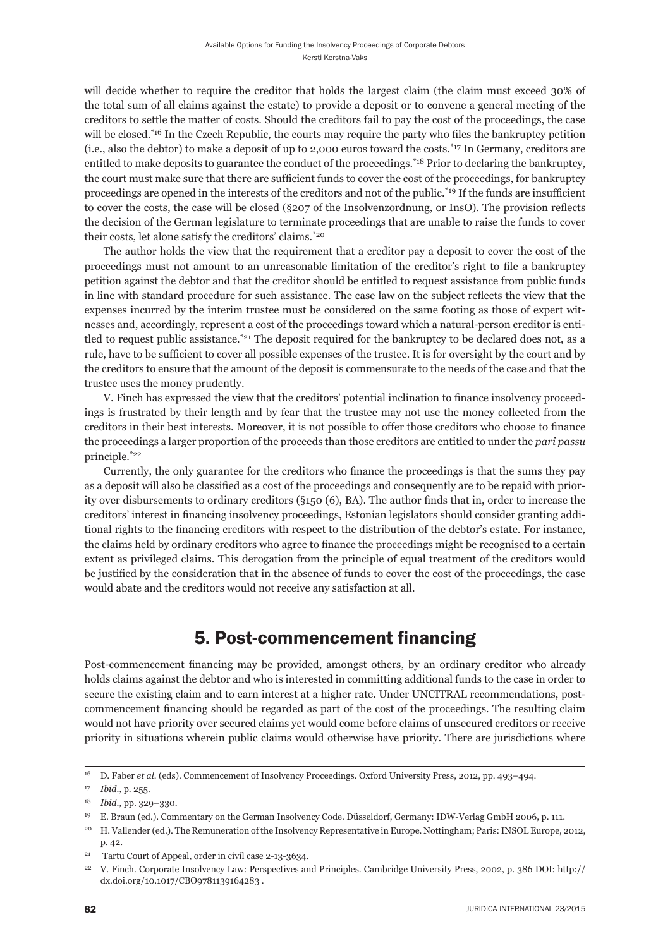will decide whether to require the creditor that holds the largest claim (the claim must exceed 30% of the total sum of all claims against the estate) to provide a deposit or to convene a general meeting of the creditors to settle the matter of costs. Should the creditors fail to pay the cost of the proceedings, the case will be closed.<sup>\*16</sup> In the Czech Republic, the courts may require the party who files the bankruptcy petition (i.e., also the debtor) to make a deposit of up to 2,000 euros toward the costs.\*17 In Germany, creditors are entitled to make deposits to guarantee the conduct of the proceedings.<sup>\*18</sup> Prior to declaring the bankruptcy, the court must make sure that there are sufficient funds to cover the cost of the proceedings, for bankruptcy proceedings are opened in the interests of the creditors and not of the public.<sup>\*19</sup> If the funds are insufficient to cover the costs, the case will be closed ( $\S 207$  of the Insolvenzordnung, or InsO). The provision reflects the decision of the German legislature to terminate proceedings that are unable to raise the funds to cover their costs, let alone satisfy the creditors' claims.\*20

The author holds the view that the requirement that a creditor pay a deposit to cover the cost of the proceedings must not amount to an unreasonable limitation of the creditor's right to file a bankruptcy petition against the debtor and that the creditor should be entitled to request assistance from public funds in line with standard procedure for such assistance. The case law on the subject reflects the view that the expenses incurred by the interim trustee must be considered on the same footing as those of expert witnesses and, accordingly, represent a cost of the proceedings toward which a natural-person creditor is entitled to request public assistance.<sup>\*21</sup> The deposit required for the bankruptcy to be declared does not, as a rule, have to be sufficient to cover all possible expenses of the trustee. It is for oversight by the court and by the creditors to ensure that the amount of the deposit is commensurate to the needs of the case and that the trustee uses the money prudently.

V. Finch has expressed the view that the creditors' potential inclination to finance insolvency proceedings is frustrated by their length and by fear that the trustee may not use the money collected from the creditors in their best interests. Moreover, it is not possible to offer those creditors who choose to finance the proceedings a larger proportion of the proceeds than those creditors are entitled to under the *pari passu* principle.\*22

Currently, the only guarantee for the creditors who finance the proceedings is that the sums they pay as a deposit will also be classified as a cost of the proceedings and consequently are to be repaid with priority over disbursements to ordinary creditors ( $\S 150$  (6), BA). The author finds that in, order to increase the creditors' interest in financing insolvency proceedings, Estonian legislators should consider granting additional rights to the financing creditors with respect to the distribution of the debtor's estate. For instance, the claims held by ordinary creditors who agree to finance the proceedings might be recognised to a certain extent as privileged claims. This derogation from the principle of equal treatment of the creditors would be justifi ed by the consideration that in the absence of funds to cover the cost of the proceedings, the case would abate and the creditors would not receive any satisfaction at all.

#### 5. Post-commencement financing

Post-commencement financing may be provided, amongst others, by an ordinary creditor who already holds claims against the debtor and who is interested in committing additional funds to the case in order to secure the existing claim and to earn interest at a higher rate. Under UNCITRAL recommendations, postcommencement financing should be regarded as part of the cost of the proceedings. The resulting claim would not have priority over secured claims yet would come before claims of unsecured creditors or receive priority in situations wherein public claims would otherwise have priority. There are jurisdictions where

16 D. Faber *et al.* (eds). Commencement of Insolvency Proceedings. Oxford University Press, 2012, pp. 493–494.

<sup>17</sup> *Ibid*., p. 255.

<sup>18</sup> *Ibid*., pp. 329–330.

<sup>19</sup> E. Braun (ed.). Commentary on the German Insolvency Code. Düsseldorf, Germany: IDW-Verlag GmbH 2006, p. 111.

<sup>&</sup>lt;sup>20</sup> H. Vallender (ed.). The Remuneration of the Insolvency Representative in Europe. Nottingham; Paris: INSOL Europe, 2012, p. 42.

<sup>21</sup> Tartu Court of Appeal, order in civil case 2-13-3634.

<sup>22</sup> V. Finch. Corporate Insolvency Law: Perspectives and Principles. Cambridge University Press, 2002, p. 386 DOI: http:// dx.doi.org/10.1017/CBO9781139164283 .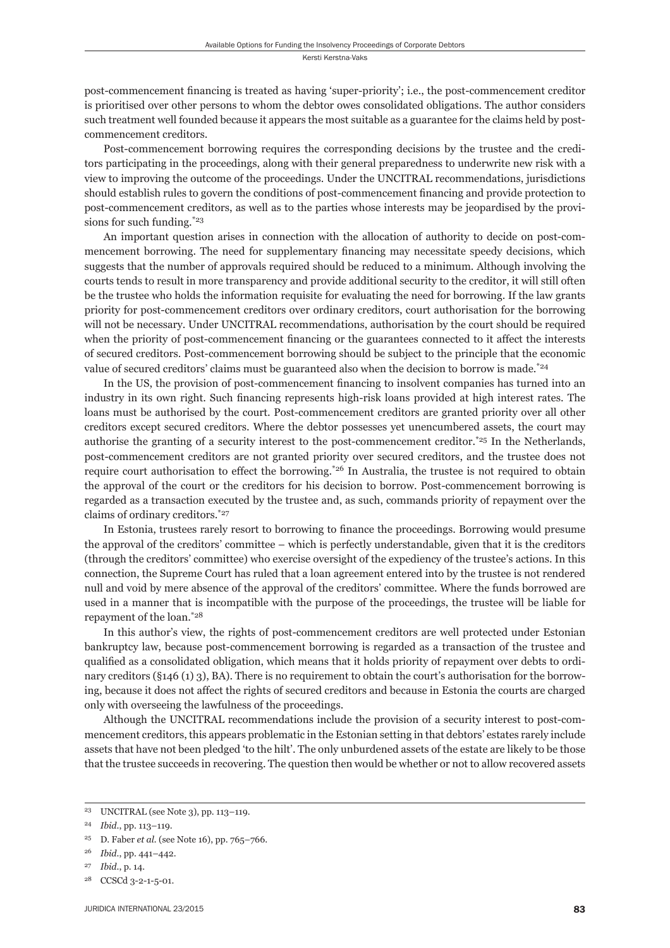post-commence ment financing is treated as having 'super-priority'; i.e., the post-commence ment creditor is prioritised over other persons to whom the debtor owes consolidated obligations. The author considers such treatment well founded because it appears the most suitable as a guarantee for the claims held by postcommencement creditors.

Post-commencement borrowing requires the corresponding decisions by the trustee and the creditors participating in the proceedings, along with their general preparedness to underwrite new risk with a view to improving the outcome of the proceedings. Under the UNCITRAL recommendations, jurisdictions should establish rules to govern the conditions of post-commencement financing and provide protection to post-commencement creditors, as well as to the parties whose interests may be jeopardised by the provisions for such funding.\*23

An important question arises in connection with the allocation of authority to decide on post-commencement borrowing. The need for supplementary financing may necessitate speedy decisions, which suggests that the number of approvals required should be reduced to a minimum. Although involving the courts tends to result in more transparency and provide additional security to the creditor, it will still often be the trustee who holds the information requisite for evaluating the need for borrowing. If the law grants priority for post-commencement creditors over ordinary creditors, court authorisation for the borrowing will not be necessary. Under UNCITRAL recommendations, authorisation by the court should be required when the priority of post-commencement financing or the guarantees connected to it affect the interests of secured creditors. Post-commencement borrowing should be subject to the principle that the economic value of secured creditors' claims must be guaranteed also when the decision to borrow is made.\*24

In the US, the provision of post-commencement financing to insolvent companies has turned into an industry in its own right. Such financing represents high-risk loans provided at high interest rates. The loans must be authorised by the court. Post-commencement creditors are granted priority over all other creditors except secured creditors. Where the debtor possesses yet unencumbered assets, the court may authorise the granting of a security interest to the post-commencement creditor.<sup>\*25</sup> In the Netherlands, post-commencement creditors are not granted priority over secured creditors, and the trustee does not require court authorisation to effect the borrowing.\*26 In Australia, the trustee is not required to obtain the approval of the court or the creditors for his decision to borrow. Post-commencement borrowing is regarded as a transaction executed by the trustee and, as such, commands priority of repayment over the claims of ordinary creditors.\*27

In Estonia, trustees rarely resort to borrowing to finance the proceedings. Borrowing would presume the approval of the creditors' committee – which is perfectly understandable, given that it is the creditors (through the creditors' committee) who exercise oversight of the expediency of the trustee's actions. In this connection, the Supreme Court has ruled that a loan agreement entered into by the trustee is not rendered null and void by mere absence of the approval of the creditors' committee. Where the funds borrowed are used in a manner that is incompatible with the purpose of the proceedings, the trustee will be liable for repayment of the loan.\*28

In this author's view, the rights of post-commencement creditors are well protected under Estonian bankruptcy law, because post-commencement borrowing is regarded as a transaction of the trustee and qualified as a consolidated obligation, which means that it holds priority of repayment over debts to ordinary creditors (§146 (1) 3), BA). There is no requirement to obtain the court's authorisation for the borrowing, because it does not affect the rights of secured creditors and because in Estonia the courts are charged only with overseeing the lawfulness of the proceedings.

Although the UNCITRAL recommendations include the provision of a security interest to post-commencement creditors, this appears problematic in the Estonian setting in that debtors' estates rarely include assets that have not been pledged 'to the hilt'. The only unburdened assets of the estate are likely to be those that the trustee succeeds in recovering. The question then would be whether or not to allow recovered assets

<sup>23</sup> UNCITRAL (see Note 3), pp. 113–119.

<sup>24</sup> *Ibid*., pp. 113–119.

<sup>25</sup> D. Faber *et al.* (see Note 16), pp. 765–766.

<sup>26</sup> *Ibid*., pp. 441–442.

<sup>27</sup> *Ibid*., p. 14.

<sup>28</sup> CCSCd 3-2-1-5-01.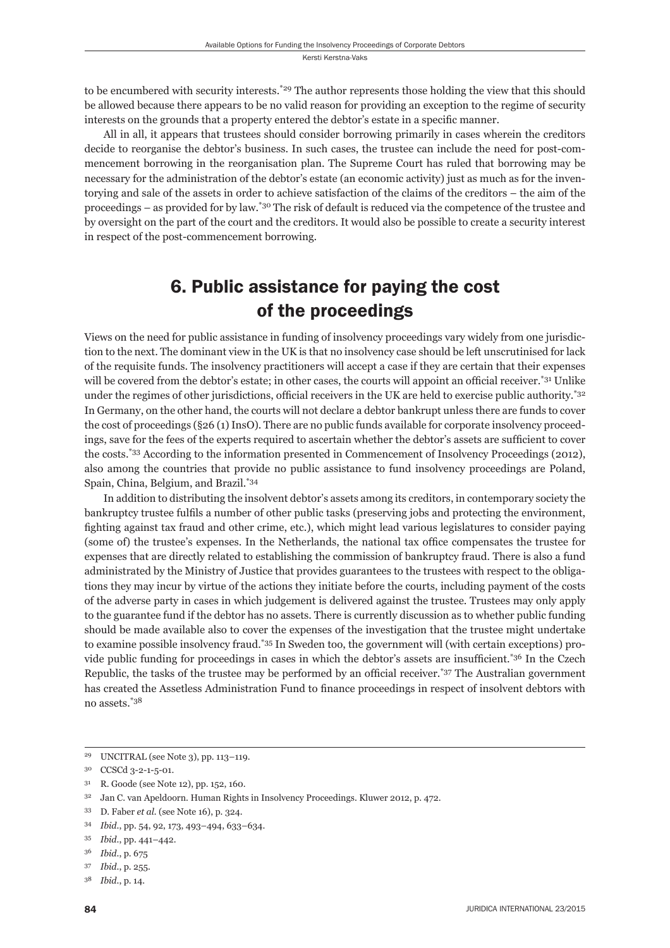to be encumbered with security interests.<sup>\*29</sup> The author represents those holding the view that this should be allowed because there appears to be no valid reason for providing an exception to the regime of security interests on the grounds that a property entered the debtor's estate in a specific manner.

All in all, it appears that trustees should consider borrowing primarily in cases wherein the creditors decide to reorganise the debtor's business. In such cases, the trustee can include the need for post-commencement borrowing in the reorganisation plan. The Supreme Court has ruled that borrowing may be necessary for the administration of the debtor's estate (an economic activity) just as much as for the inventorying and sale of the assets in order to achieve satisfaction of the claims of the creditors – the aim of the proceedings – as provided for by law.\*30 The risk of default is reduced via the competence of the trustee and by oversight on the part of the court and the creditors. It would also be possible to create a security interest in respect of the post-commencement borrowing.

# 6. Public assistance for paying the cost of the proceedings

Views on the need for public assistance in funding of insolvency proceedings vary widely from one jurisdiction to the next. The dominant view in the UK is that no insolvency case should be left unscrutinised for lack of the requisite funds. The insolvency practitioners will accept a case if they are certain that their expenses will be covered from the debtor's estate; in other cases, the courts will appoint an official receiver.<sup>\*31</sup> Unlike under the regimes of other jurisdictions, official receivers in the UK are held to exercise public authority.<sup>\*32</sup> In Germany, on the other hand, the courts will not declare a debtor bankrupt unless there are funds to cover the cost of proceedings (§26 (1) InsO). There are no public funds available for corporate insolvency proceedings, save for the fees of the experts required to ascertain whether the debtor's assets are sufficient to cover the costs.\*33 According to the information presented in Commencement of Insolvency Proceedings (2012), also among the countries that provide no public assistance to fund insolvency proceedings are Poland, Spain, China, Belgium, and Brazil.\*34

In addition to distributing the insolvent debtor's assets among its creditors, in contemporary society the bankruptcy trustee fulfils a number of other public tasks (preserving jobs and protecting the environment, fighting against tax fraud and other crime, etc.), which might lead various legislatures to consider paying (some of) the trustee's expenses. In the Netherlands, the national tax office compensates the trustee for expenses that are directly related to establishing the commission of bankruptcy fraud. There is also a fund administrated by the Ministry of Justice that provides guarantees to the trustees with respect to the obligations they may incur by virtue of the actions they initiate before the courts, including payment of the costs of the adverse party in cases in which judgement is delivered against the trustee. Trustees may only apply to the guarantee fund if the debtor has no assets. There is currently discussion as to whether public funding should be made available also to cover the expenses of the investigation that the trustee might undertake to examine possible insolvency fraud.\*35 In Sweden too, the government will (with certain exceptions) provide public funding for proceedings in cases in which the debtor's assets are insufficient.<sup>\*36</sup> In the Czech Republic, the tasks of the trustee may be performed by an official receiver.\*37 The Australian government has created the Assetless Administration Fund to finance proceedings in respect of insolvent debtors with no assets.\*38

33 D. Faber *et al.* (see Note 16), p. 324.

<sup>29</sup> UNCITRAL (see Note 3), pp. 113–119.

<sup>30</sup> CCSCd 3-2-1-5-01.

<sup>31</sup> R. Goode (see Note 12), pp. 152, 160.

<sup>32</sup> Jan C. van Apeldoorn. Human Rights in Insolvency Proceedings. Kluwer 2012, p. 472.

<sup>34</sup> *Ibid*., pp. 54, 92, 173, 493–494, 633–634.

<sup>35</sup> *Ibid*., pp. 441–442.

<sup>36</sup> *Ibid*., p. 675

<sup>37</sup> *Ibid*., p. 255.

<sup>38</sup> *Ibid*., p. 14.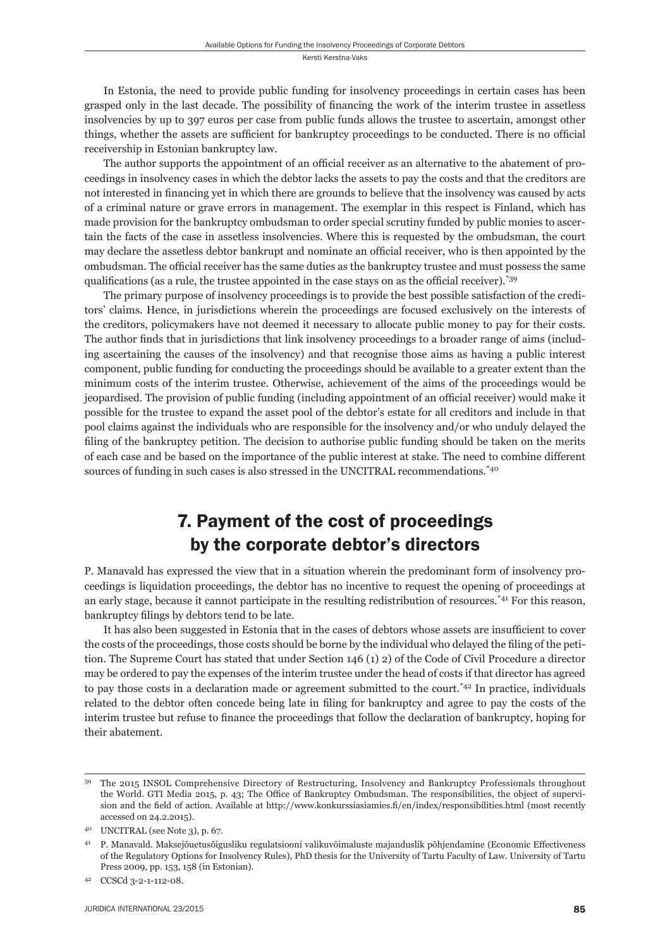In Estonia, the need to provide public funding for insolvency proceedings in certain cases has been grasped only in the last decade. The possibility of financing the work of the interim trustee in assetless insolvencies by up to 397 euros per case from public funds allows the trustee to ascertain, amongst other things, whether the assets are sufficient for bankruptcy proceedings to be conducted. There is no official receivership in Estonian bankruptcy law.

The author supports the appointment of an official receiver as an alternative to the abatement of proceedings in insolvency cases in which the debtor lacks the assets to pay the costs and that the creditors are not interested in financing yet in which there are grounds to believe that the insolvency was caused by acts of a criminal nature or grave errors in management. The exemplar in this respect is Finland, which has made provision for the bankruptcy ombudsman to order special scrutiny funded by public monies to ascertain the facts of the case in assetless insolvencies. Where this is requested by the ombudsman, the court may declare the assetless debtor bankrupt and nominate an official receiver, who is then appointed by the ombudsman. The official receiver has the same duties as the bankruptcy trustee and must possess the same qualifications (as a rule, the trustee appointed in the case stays on as the official receiver).<sup>\*39</sup>

The primary purpose of insolvency proceedings is to provide the best possible satisfaction of the creditors' claims. Hence, in jurisdictions wherein the proceedings are focused exclusively on the interests of the creditors, policymakers have not deemed it necessary to allocate public money to pay for their costs. The author finds that in jurisdictions that link insolvency proceedings to a broader range of aims (including ascertaining the causes of the insolvency) and that recognise those aims as having a public interest component, public funding for conducting the proceedings should be available to a greater extent than the minimum costs of the interim trustee. Otherwise, achievement of the aims of the proceedings would be jeopardised. The provision of public funding (including appointment of an official receiver) would make it possible for the trustee to expand the asset pool of the debtor's estate for all creditors and include in that pool claims against the individuals who are responsible for the insolvency and/or who unduly delayed the filing of the bankruptcy petition. The decision to authorise public funding should be taken on the merits of each case and be based on the importance of the public interest at stake. The need to combine different sources of funding in such cases is also stressed in the UNCITRAL recommendations.<sup>\*40</sup>

## 7. Payment of the cost of proceedings by the corporate debtor's directors

P. Manavald has expressed the view that in a situation wherein the predominant form of insolvency proceedings is liquidation proceedings, the debtor has no incentive to request the opening of proceedings at an early stage, because it cannot participate in the resulting redistribution of resources.\*41 For this reason, bankruptcy filings by debtors tend to be late.

It has also been suggested in Estonia that in the cases of debtors whose assets are insufficient to cover the costs of the proceedings, those costs should be borne by the individual who delayed the filing of the petition. The Supreme Court has stated that under Section 146 (1) 2) of the Code of Civil Procedure a director may be ordered to pay the expenses of the interim trustee under the head of costs if that director has agreed to pay those costs in a declaration made or agreement submitted to the court.\*42 In practice, individuals related to the debtor often concede being late in filing for bankruptcy and agree to pay the costs of the interim trustee but refuse to finance the proceedings that follow the declaration of bankruptcy, hoping for their abatement.

<sup>39</sup> The 2015 INSOL Comprehensive Directory of Restructuring, Insolvency and Bankruptcy Professionals throughout the World. GTI Media 2015, p. 43; The Office of Bankruptcy Ombudsman. The responsibilities, the object of supervision and the field of action. Available at http://www.konkurssiasiamies.fi/en/index/responsibilities.html (most recently accessed on 24.2.2015).

<sup>40</sup> UNCITRAL (see Note 3), p. 67.

<sup>41</sup> P. Manavald. Maksejõuetusõigusliku regulatsiooni valikuvõimaluste majanduslik põhjendamine (Economic Effectiveness of the Regulatory Options for Insolvency Rules), PhD thesis for the University of Tartu Faculty of Law. University of Tartu Press 2009, pp. 153, 158 (in Estonian).

CCSCd 3-2-1-112-08.